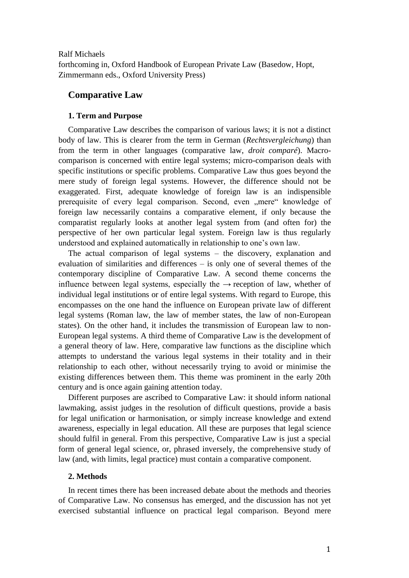### Ralf Michaels

forthcoming in, Oxford Handbook of European Private Law (Basedow, Hopt, Zimmermann eds., Oxford University Press)

# **Comparative Law**

# **1. Term and Purpose**

Comparative Law describes the comparison of various laws; it is not a distinct body of law. This is clearer from the term in German (*Rechtsvergleichung*) than from the term in other languages (comparative law, *droit comparé*). Macrocomparison is concerned with entire legal systems; micro-comparison deals with specific institutions or specific problems. Comparative Law thus goes beyond the mere study of foreign legal systems. However, the difference should not be exaggerated. First, adequate knowledge of foreign law is an indispensible prerequisite of every legal comparison. Second, even ...mere knowledge of foreign law necessarily contains a comparative element, if only because the comparatist regularly looks at another legal system from (and often for) the perspective of her own particular legal system. Foreign law is thus regularly understood and explained automatically in relationship to one's own law.

The actual comparison of legal systems – the discovery, explanation and evaluation of similarities and differences – is only one of several themes of the contemporary discipline of Comparative Law. A second theme concerns the influence between legal systems, especially the  $\rightarrow$  reception of law, whether of individual legal institutions or of entire legal systems. With regard to Europe, this encompasses on the one hand the influence on European private law of different legal systems (Roman law, the law of member states, the law of non-European states). On the other hand, it includes the transmission of European law to non-European legal systems. A third theme of Comparative Law is the development of a general theory of law. Here, comparative law functions as the discipline which attempts to understand the various legal systems in their totality and in their relationship to each other, without necessarily trying to avoid or minimise the existing differences between them. This theme was prominent in the early 20th century and is once again gaining attention today.

Different purposes are ascribed to Comparative Law: it should inform national lawmaking, assist judges in the resolution of difficult questions, provide a basis for legal unification or harmonisation, or simply increase knowledge and extend awareness, especially in legal education. All these are purposes that legal science should fulfil in general. From this perspective, Comparative Law is just a special form of general legal science, or, phrased inversely, the comprehensive study of law (and, with limits, legal practice) must contain a comparative component.

### **2. Methods**

In recent times there has been increased debate about the methods and theories of Comparative Law. No consensus has emerged, and the discussion has not yet exercised substantial influence on practical legal comparison. Beyond mere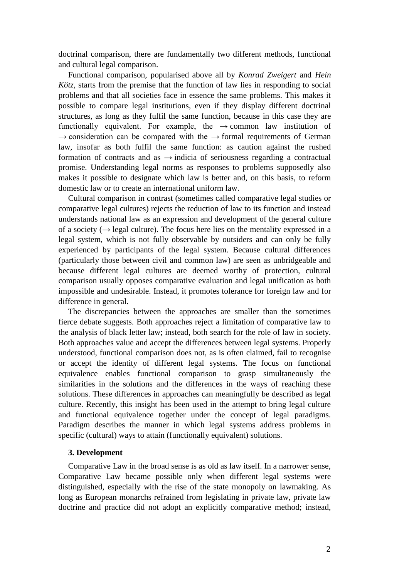doctrinal comparison, there are fundamentally two different methods, functional and cultural legal comparison.

Functional comparison, popularised above all by *Konrad Zweigert* and *Hein Kötz*, starts from the premise that the function of law lies in responding to social problems and that all societies face in essence the same problems. This makes it possible to compare legal institutions, even if they display different doctrinal structures, as long as they fulfil the same function, because in this case they are functionally equivalent. For example, the  $\rightarrow$  common law institution of  $\rightarrow$  consideration can be compared with the  $\rightarrow$  formal requirements of German law, insofar as both fulfil the same function: as caution against the rushed formation of contracts and as  $\rightarrow$  indicia of seriousness regarding a contractual promise. Understanding legal norms as responses to problems supposedly also makes it possible to designate which law is better and, on this basis, to reform domestic law or to create an international uniform law.

Cultural comparison in contrast (sometimes called comparative legal studies or comparative legal cultures) rejects the reduction of law to its function and instead understands national law as an expression and development of the general culture of a society ( $\rightarrow$  legal culture). The focus here lies on the mentality expressed in a legal system, which is not fully observable by outsiders and can only be fully experienced by participants of the legal system. Because cultural differences (particularly those between civil and common law) are seen as unbridgeable and because different legal cultures are deemed worthy of protection, cultural comparison usually opposes comparative evaluation and legal unification as both impossible and undesirable. Instead, it promotes tolerance for foreign law and for difference in general.

The discrepancies between the approaches are smaller than the sometimes fierce debate suggests. Both approaches reject a limitation of comparative law to the analysis of black letter law; instead, both search for the role of law in society. Both approaches value and accept the differences between legal systems. Properly understood, functional comparison does not, as is often claimed, fail to recognise or accept the identity of different legal systems. The focus on functional equivalence enables functional comparison to grasp simultaneously the similarities in the solutions and the differences in the ways of reaching these solutions. These differences in approaches can meaningfully be described as legal culture. Recently, this insight has been used in the attempt to bring legal culture and functional equivalence together under the concept of legal paradigms. Paradigm describes the manner in which legal systems address problems in specific (cultural) ways to attain (functionally equivalent) solutions.

### **3. Development**

Comparative Law in the broad sense is as old as law itself. In a narrower sense, Comparative Law became possible only when different legal systems were distinguished, especially with the rise of the state monopoly on lawmaking. As long as European monarchs refrained from legislating in private law, private law doctrine and practice did not adopt an explicitly comparative method; instead,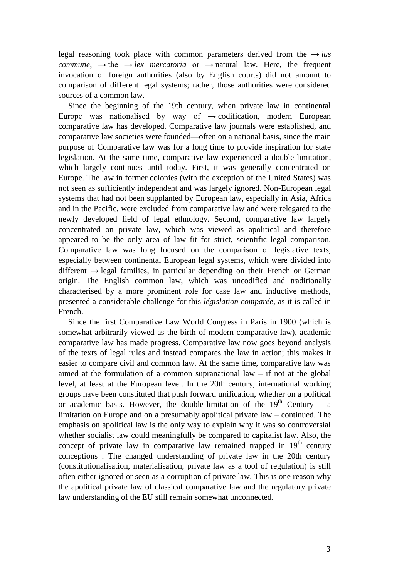legal reasoning took place with common parameters derived from the → *ius commune*,  $\rightarrow$  the  $\rightarrow$  *lex mercatoria* or  $\rightarrow$  natural law. Here, the frequent invocation of foreign authorities (also by English courts) did not amount to comparison of different legal systems; rather, those authorities were considered sources of a common law.

Since the beginning of the 19th century, when private law in continental Europe was nationalised by way of  $\rightarrow$  codification, modern European comparative law has developed. Comparative law journals were established, and comparative law societies were founded—often on a national basis, since the main purpose of Comparative law was for a long time to provide inspiration for state legislation. At the same time, comparative law experienced a double-limitation, which largely continues until today. First, it was generally concentrated on Europe. The law in former colonies (with the exception of the United States) was not seen as sufficiently independent and was largely ignored. Non-European legal systems that had not been supplanted by European law, especially in Asia, Africa and in the Pacific, were excluded from comparative law and were relegated to the newly developed field of legal ethnology. Second, comparative law largely concentrated on private law, which was viewed as apolitical and therefore appeared to be the only area of law fit for strict, scientific legal comparison. Comparative law was long focused on the comparison of legislative texts, especially between continental European legal systems, which were divided into different  $\rightarrow$  legal families, in particular depending on their French or German origin. The English common law, which was uncodified and traditionally characterised by a more prominent role for case law and inductive methods, presented a considerable challenge for this *législation comparée*, as it is called in French.

Since the first Comparative Law World Congress in Paris in 1900 (which is somewhat arbitrarily viewed as the birth of modern comparative law), academic comparative law has made progress. Comparative law now goes beyond analysis of the texts of legal rules and instead compares the law in action; this makes it easier to compare civil and common law. At the same time, comparative law was aimed at the formulation of a common supranational law – if not at the global level, at least at the European level. In the 20th century, international working groups have been constituted that push forward unification, whether on a political or academic basis. However, the double-limitation of the  $19<sup>th</sup>$  Century – a limitation on Europe and on a presumably apolitical private law – continued. The emphasis on apolitical law is the only way to explain why it was so controversial whether socialist law could meaningfully be compared to capitalist law. Also, the concept of private law in comparative law remained trapped in  $19<sup>th</sup>$  century conceptions . The changed understanding of private law in the 20th century (constitutionalisation, materialisation, private law as a tool of regulation) is still often either ignored or seen as a corruption of private law. This is one reason why the apolitical private law of classical comparative law and the regulatory private law understanding of the EU still remain somewhat unconnected.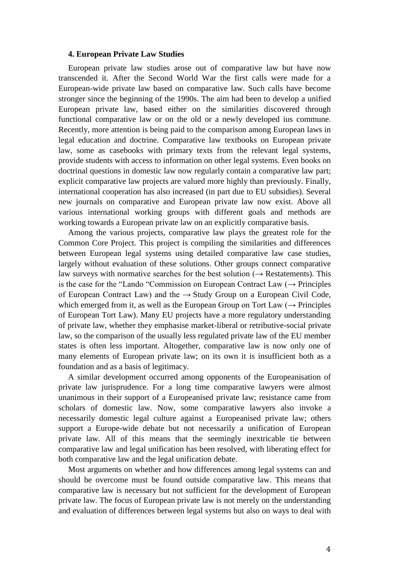#### **4. European Private Law Studies**

European private law studies arose out of comparative law but have now transcended it. After the Second World War the first calls were made for a European-wide private law based on comparative law. Such calls have become stronger since the beginning of the 1990s. The aim had been to develop a unified European private law, based either on the similarities discovered through functional comparative law or on the old or a newly developed ius commune. Recently, more attention is being paid to the comparison among European laws in legal education and doctrine. Comparative law textbooks on European private law, some as casebooks with primary texts from the relevant legal systems, provide students with access to information on other legal systems. Even books on doctrinal questions in domestic law now regularly contain a comparative law part; explicit comparative law projects are valued more highly than previously. Finally, international cooperation has also increased (in part due to EU subsidies). Several new journals on comparative and European private law now exist. Above all various international working groups with different goals and methods are working towards a European private law on an explicitly comparative basis.

Among the various projects, comparative law plays the greatest role for the Common Core Project. This project is compiling the similarities and differences between European legal systems using detailed comparative law case studies, largely without evaluation of these solutions. Other groups connect comparative law surveys with normative searches for the best solution ( $\rightarrow$  Restatements). This is the case for the "Lando "Commission on European Contract Law  $(\rightarrow$  Principles of European Contract Law) and the  $\rightarrow$  Study Group on a European Civil Code, which emerged from it, as well as the European Group on Tort Law  $(\rightarrow$  Principles of European Tort Law). Many EU projects have a more regulatory understanding of private law, whether they emphasise market-liberal or retributive-social private law, so the comparison of the usually less regulated private law of the EU member states is often less important. Altogether, comparative law is now only one of many elements of European private law; on its own it is insufficient both as a foundation and as a basis of legitimacy.

A similar development occurred among opponents of the Europeanisation of private law jurisprudence. For a long time comparative lawyers were almost unanimous in their support of a Europeanised private law; resistance came from scholars of domestic law. Now, some comparative lawyers also invoke a necessarily domestic legal culture against a Europeanised private law; others support a Europe-wide debate but not necessarily a unification of European private law. All of this means that the seemingly inextricable tie between comparative law and legal unification has been resolved, with liberating effect for both comparative law and the legal unification debate.

Most arguments on whether and how differences among legal systems can and should be overcome must be found outside comparative law. This means that comparative law is necessary but not sufficient for the development of European private law. The focus of European private law is not merely on the understanding and evaluation of differences between legal systems but also on ways to deal with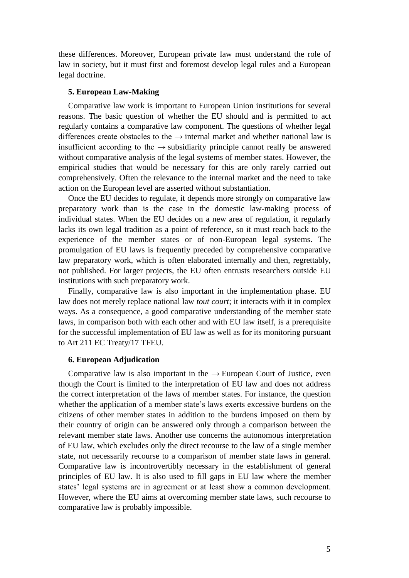these differences. Moreover, European private law must understand the role of law in society, but it must first and foremost develop legal rules and a European legal doctrine.

### **5. European Law-Making**

Comparative law work is important to European Union institutions for several reasons. The basic question of whether the EU should and is permitted to act regularly contains a comparative law component. The questions of whether legal differences create obstacles to the  $\rightarrow$  internal market and whether national law is insufficient according to the  $\rightarrow$  subsidiarity principle cannot really be answered without comparative analysis of the legal systems of member states. However, the empirical studies that would be necessary for this are only rarely carried out comprehensively. Often the relevance to the internal market and the need to take action on the European level are asserted without substantiation.

Once the EU decides to regulate, it depends more strongly on comparative law preparatory work than is the case in the domestic law-making process of individual states. When the EU decides on a new area of regulation, it regularly lacks its own legal tradition as a point of reference, so it must reach back to the experience of the member states or of non-European legal systems. The promulgation of EU laws is frequently preceded by comprehensive comparative law preparatory work, which is often elaborated internally and then, regrettably, not published. For larger projects, the EU often entrusts researchers outside EU institutions with such preparatory work.

Finally, comparative law is also important in the implementation phase. EU law does not merely replace national law *tout court*; it interacts with it in complex ways. As a consequence, a good comparative understanding of the member state laws, in comparison both with each other and with EU law itself, is a prerequisite for the successful implementation of EU law as well as for its monitoring pursuant to Art 211 EC Treaty/17 TFEU.

### **6. European Adjudication**

Comparative law is also important in the  $\rightarrow$  European Court of Justice, even though the Court is limited to the interpretation of EU law and does not address the correct interpretation of the laws of member states. For instance, the question whether the application of a member state's laws exerts excessive burdens on the citizens of other member states in addition to the burdens imposed on them by their country of origin can be answered only through a comparison between the relevant member state laws. Another use concerns the autonomous interpretation of EU law, which excludes only the direct recourse to the law of a single member state, not necessarily recourse to a comparison of member state laws in general. Comparative law is incontrovertibly necessary in the establishment of general principles of EU law. It is also used to fill gaps in EU law where the member states' legal systems are in agreement or at least show a common development. However, where the EU aims at overcoming member state laws, such recourse to comparative law is probably impossible.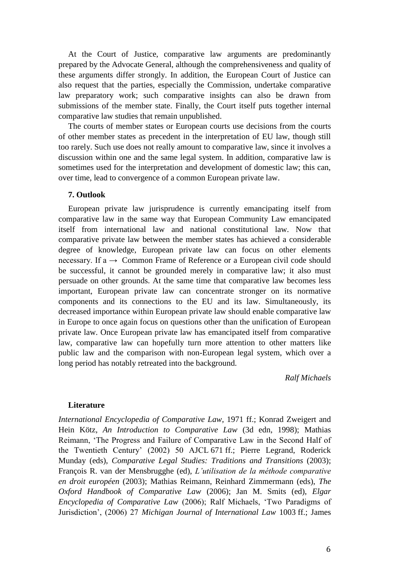At the Court of Justice, comparative law arguments are predominantly prepared by the Advocate General, although the comprehensiveness and quality of these arguments differ strongly. In addition, the European Court of Justice can also request that the parties, especially the Commission, undertake comparative law preparatory work; such comparative insights can also be drawn from submissions of the member state. Finally, the Court itself puts together internal comparative law studies that remain unpublished.

The courts of member states or European courts use decisions from the courts of other member states as precedent in the interpretation of EU law, though still too rarely. Such use does not really amount to comparative law, since it involves a discussion within one and the same legal system. In addition, comparative law is sometimes used for the interpretation and development of domestic law; this can, over time, lead to convergence of a common European private law.

## **7. Outlook**

European private law jurisprudence is currently emancipating itself from comparative law in the same way that European Community Law emancipated itself from international law and national constitutional law. Now that comparative private law between the member states has achieved a considerable degree of knowledge, European private law can focus on other elements necessary. If a  $\rightarrow$  Common Frame of Reference or a European civil code should be successful, it cannot be grounded merely in comparative law; it also must persuade on other grounds. At the same time that comparative law becomes less important, European private law can concentrate stronger on its normative components and its connections to the EU and its law. Simultaneously, its decreased importance within European private law should enable comparative law in Europe to once again focus on questions other than the unification of European private law. Once European private law has emancipated itself from comparative law, comparative law can hopefully turn more attention to other matters like public law and the comparison with non-European legal system, which over a long period has notably retreated into the background.

*Ralf Michaels*

### **Literature**

*International Encyclopedia of Comparative Law*, 1971 ff.; Konrad Zweigert and Hein Kötz, *An Introduction to Comparative Law* (3d edn, 1998); Mathias Reimann, 'The Progress and Failure of Comparative Law in the Second Half of the Twentieth Century' (2002) 50 AJCL 671 ff.; Pierre Legrand, Roderick Munday (eds), *Comparative Legal Studies: Traditions and Transitions* (2003); François R. van der Mensbrugghe (ed), *L'utilisation de la méthode comparative en droit européen* (2003); Mathias Reimann, Reinhard Zimmermann (eds), *The Oxford Handbook of Comparative Law* (2006); Jan M. Smits (ed), *Elgar Encyclopedia of Comparative Law* (2006); Ralf Michaels, 'Two Paradigms of Jurisdiction', (2006) 27 *Michigan Journal of International Law* 1003 ff.; James